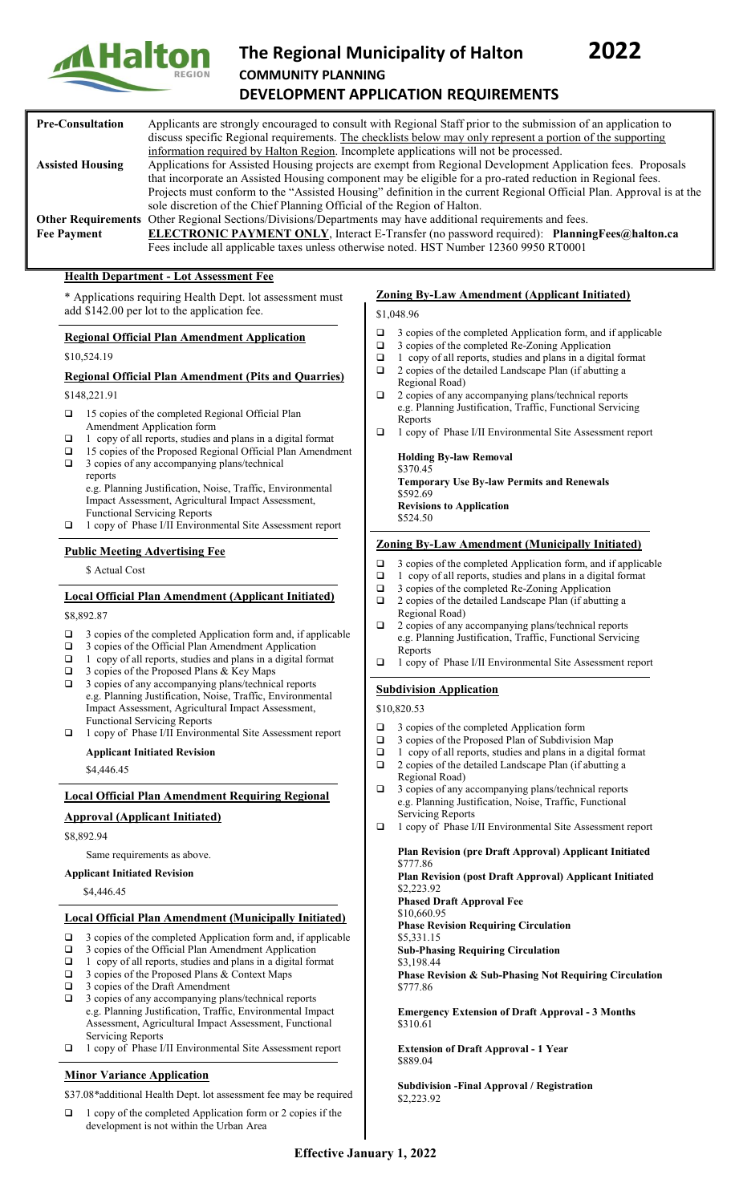

# **The Regional Municipality of Halton 2022 COMMUNITY PLANNING DEVELOPMENT APPLICATION REQUIREMENTS**

#### **Pre-Consultation** Applicants are strongly encouraged to consult with Regional Staff prior to the submission of an application to discuss specific Regional requirements. The checklists below may only represent a portion of the supporting information required by Halton Region. Incomplete applications will not be processed. **Assisted Housing** Applications for Assisted Housing projects are exempt from Regional Development Application fees. Proposals that incorporate an Assisted Housing component may be eligible for a pro-rated reduction in Regional fees. Projects must conform to the "Assisted Housing" definition in the current Regional Official Plan. Approval is at the sole discretion of the Chief Planning Official of the Region of Halton. **Other Requirements** Other Regional Sections/Divisions/Departments may have additional requirements and fees.<br> **Fee Payment ELECTRONIC PAYMENT ONLY**, Interact E-Transfer (no password required): Plannin **ELECTRONIC PAYMENT ONLY**, Interact E-Transfer (no password required): [PlanningFees@halton.ca](mailto:PlanningFees@halton.ca) Fees include all applicable taxes unless otherwise noted. HST Number 12360 9950 RT0001

## **Health Department - Lot Assessment Fee**

\* Applications requiring Health Dept. lot assessment must add \$142.00 per lot to the application fee.

## **Regional Official Plan Amendment Application**

\$10,524.19

#### **Regional Official Plan Amendment (Pits and Quarries)**

\$148,221.91

- □ 15 copies of the completed Regional Official Plan Amendment Application form
- $\Box$  1 copy of all reports, studies and plans in a digital format
- 15 copies of the Proposed Regional Official Plan Amendment
- □ 3 copies of any accompanying plans/technical

reports e.g. Planning Justification, Noise, Traffic, Environmental

- Impact Assessment, Agricultural Impact Assessment, Functional Servicing Reports
- 1 copy of Phase I/II Environmental Site Assessment report

## **Public Meeting Advertising Fee**

\$ Actual Cost

# **Local Official Plan Amendment (Applicant Initiated)**

\$8,892.87

- $\Box$  3 copies of the completed Application form and, if applicable
- $\Box$  3 copies of the Official Plan Amendment Application  $\Box$  1 copy of all reports studies and plans in a digital for
- 1 copy of all reports, studies and plans in a digital format
- 3 copies of the Proposed Plans & Key Maps
- □ 3 copies of any accompanying plans/technical reports e.g. Planning Justification, Noise, Traffic, Environmental Impact Assessment, Agricultural Impact Assessment, Functional Servicing Reports
- 1 copy of Phase I/II Environmental Site Assessment report

**Applicant Initiated Revision**

\$4,446.45

#### **Local Official Plan Amendment Requiring Regional**

#### **Approval (Applicant Initiated)**

\$8,892.94

Same requirements as above.

#### **Applicant Initiated Revision**

\$4,446.45

#### **Local Official Plan Amendment (Municipally Initiated)**

- 3 copies of the completed Application form and, if applicable
- 3 copies of the Official Plan Amendment Application
- 1 copy of all reports, studies and plans in a digital format
- $\Box$  3 copies of the Proposed Plans & Context Maps<br> $\Box$  3 copies of the Draft Amendment
- 3 copies of the Draft Amendment
- □ 3 copies of any accompanying plans/technical reports e.g. Planning Justification, Traffic, Environmental Impact Assessment, Agricultural Impact Assessment, Functional Servicing Reports
- 1 copy of Phase I/II Environmental Site Assessment report

# **Minor Variance Application**

\$37.08\*additional Health Dept. lot assessment fee may be required

□ 1 copy of the completed Application form or 2 copies if the development is not within the Urban Area

## **Zoning By-Law Amendment (Applicant Initiated)**

\$1,048.96

- $\Box$  3 copies of the completed Application form, and if applicable  $\Box$  3 copies of the completed Re-Zoning Application
- 3 copies of the completed Re-Zoning Application
- $\Box$  1 copy of all reports, studies and plans in a digital format
- 2 copies of the detailed Landscape Plan (if abutting a Regional Road)
- □ 2 copies of any accompanying plans/technical reports e.g. Planning Justification, Traffic, Functional Servicing Reports
- 1 copy of Phase I/II Environmental Site Assessment report

**Holding By-law Removal** \$370.45 **Temporary Use By-law Permits and Renewals** \$592.69 **Revisions to Application** \$524.50

## **Zoning By-Law Amendment (Municipally Initiated)**

- 3 copies of the completed Application form, and if applicable
- $\Box$  1 copy of all reports, studies and plans in a digital format
- □ 3 copies of the completed Re-Zoning Application
- 2 copies of the detailed Landscape Plan (if abutting a Regional Road)
- 2 copies of any accompanying plans/technical reports e.g. Planning Justification, Traffic, Functional Servicing Reports
- $\Box$  1 copy of Phase I/II Environmental Site Assessment report

# **Subdivision Application**

\$10,820.53

- □ 3 copies of the completed Application form
- □ 3 copies of the Proposed Plan of Subdivision Map
- $\Box$  1 copy of all reports, studies and plans in a digital format
- 2 copies of the detailed Landscape Plan (if abutting a Regional Road)
- □ 3 copies of any accompanying plans/technical reports e.g. Planning Justification, Noise, Traffic, Functional
- Servicing Reports 1 copy of Phase I/II Environmental Site Assessment report

#### **Plan Revision (pre Draft Approval) Applicant Initiated** \$777.86

**Plan Revision (post Draft Approval) Applicant Initiated** \$2,223.92

**Phased Draft Approval Fee** \$10,660.95

**Phase Revision Requiring Circulation**

\$5,331.15

**Sub-Phasing Requiring Circulation**

\$3,198.44

**Phase Revision & Sub-Phasing Not Requiring Circulation** \$777.86

**Emergency Extension of Draft Approval - 3 Months** \$310.61

**Extension of Draft Approval - 1 Year** \$889.04

**Subdivision -Final Approval / Registration** \$2,223.92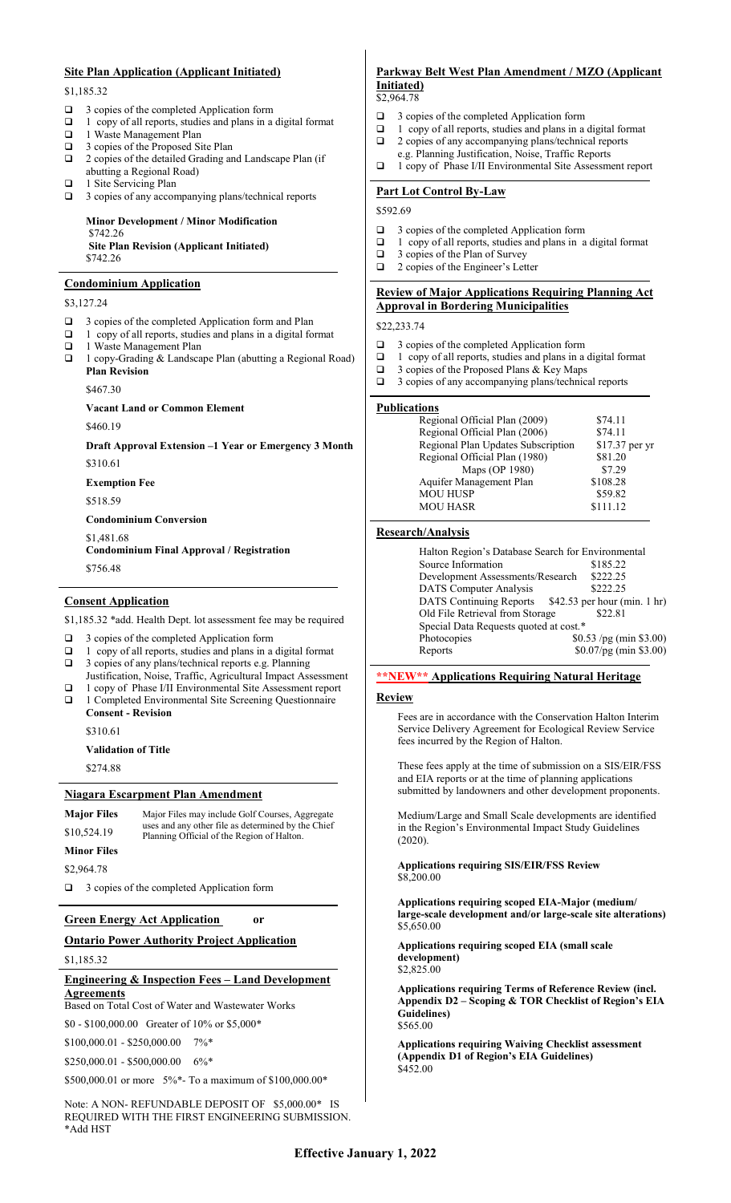## **Site Plan Application (Applicant Initiated)**

\$1,185.32

- 3 copies of the completed Application form
- $\Box$  1 copy of all reports, studies and plans in a digital format
- 1 Waste Management Plan
- □ 3 copies of the Proposed Site Plan
- 2 copies of the detailed Grading and Landscape Plan (if abutting a Regional Road)  $\Box$  1 Site Servicing Plan
- 

□ 3 copies of any accompanying plans/technical reports

#### **Minor Development / Minor Modification** \$742.26

**Site Plan Revision (Applicant Initiated)** \$742.26

#### **Condominium Application**

#### \$3,127.24

- $\Box$  3 copies of the completed Application form and Plan
- $\Box$  1 copy of all reports, studies and plans in a digital format
- 1 Waste Management Plan 1 copy-Grading & Landscape Plan (abutting a Regional Road) **Plan Revision**

\$467.30

# **Vacant Land or Common Element**

\$460.19

#### **Draft Approval Extension –1 Year or Emergency 3 Month** \$310.61

**Exemption Fee**

\$518.59

**Condominium Conversion** \$1,481.68 **Condominium Final Approval / Registration** \$756.48

#### **Consent Application**

\$1,185.32 \*add. Health Dept. lot assessment fee may be required

- □ 3 copies of the completed Application form
- $\Box$  1 copy of all reports, studies and plans in a digital format  $\Box$  3 copies of any plans/technical reports e.g. Planning
- 3 copies of any plans/technical reports e.g. Planning Justification, Noise, Traffic, Agricultural Impact Assessment
- 1 copy of Phase I/II Environmental Site Assessment report
- 1 Completed Environmental Site Screening Questionnaire **Consent - Revision**

\$310.61

**Validation of Title**

\$274.88

#### **Niagara Escarpment Plan Amendment**

| <b>Major Files</b> | Major Files may include Golf Courses, Aggregate<br>uses and any other file as determined by the Chief<br>Planning Official of the Region of Halton. |  |
|--------------------|-----------------------------------------------------------------------------------------------------------------------------------------------------|--|
| \$10,524.19        |                                                                                                                                                     |  |
| <b>Minor Files</b> |                                                                                                                                                     |  |
| \$2,964.78         |                                                                                                                                                     |  |

□ 3 copies of the completed Application form

## **Green Energy Act Application or**

## **Ontario Power Authority Project Application**

\$1,185.32

#### **Engineering & Inspection Fees – Land Development Agreements**

Based on Total Cost of Water and Wastewater Works

\$0 - \$100,000.00 Greater of 10% or \$5,000\*

\$100,000.01 - \$250,000.00 7%\*

\$250,000.01 - \$500,000.00 6%\*

\$500,000.01 or more 5%\*- To a maximum of \$100,000.00\*

Note: A NON- REFUNDABLE DEPOSIT OF \$5,000.00\* IS REQUIRED WITH THE FIRST ENGINEERING SUBMISSION. \*Add HST

## **Parkway Belt West Plan Amendment / MZO (Applicant Initiated)**

#### \$2,964.78

- $\Box$  3 copies of the completed Application form  $\Box$  1 copy of all reports studies and plans in a
- 1 copy of all reports, studies and plans in a digital format
- □ 2 copies of any accompanying plans/technical reports
- e.g. Planning Justification, Noise, Traffic Reports
- 1 copy of Phase I/II Environmental Site Assessment report

## **Part Lot Control By-Law**

#### \$592.69

- 3 copies of the completed Application form
- $\Box$  1 copy of all reports, studies and plans in a digital format
- $\Box$  3 copies of the Plan of Survey
- □ 2 copies of the Engineer's Letter

# **Review of Major Applications Requiring Planning Act Approval in Bordering Municipalities**

#### \$22,233.74

- 3 copies of the completed Application form
- $\Box$  1 copy of all reports, studies and plans in a digital format
- $\Box$  3 copies of the Proposed Plans & Key Maps
- □ 3 copies of any accompanying plans/technical reports

#### **Publications**

| Regional Official Plan (2009)      | \$74.11        |
|------------------------------------|----------------|
| Regional Official Plan (2006)      | \$74.11        |
| Regional Plan Updates Subscription | \$17.37 per yr |
| Regional Official Plan (1980)      | \$81.20        |
| Maps (OP 1980)                     | \$7.29         |
| Aquifer Management Plan            | \$108.28       |
| <b>MOU HUSP</b>                    | \$59.82        |
| <b>MOU HASR</b>                    | \$111.12       |
|                                    |                |

#### **Research/Analysis**

| Halton Region's Database Search for Environmental |                                                      |
|---------------------------------------------------|------------------------------------------------------|
| Source Information                                | \$185.22                                             |
| Development Assessments/Research                  | \$222.25                                             |
| <b>DATS</b> Computer Analysis                     | \$222.25                                             |
|                                                   | DATS Continuing Reports \$42.53 per hour (min. 1 hr) |
| Old File Retrieval from Storage                   | \$22.81                                              |
| Special Data Requests quoted at cost.*            |                                                      |
| Photocopies                                       | $$0.53$ /pg (min \$3.00)                             |
| Reports                                           | \$0.07/pg (min \$3.00)                               |
|                                                   |                                                      |

# **\*\*NEW\*\* Applications Requiring Natural Heritage**

#### **Review**

Fees are in accordance with the Conservation Halton Interim Service Delivery Agreement for Ecological Review Service fees incurred by the Region of Halton.

These fees apply at the time of submission on a SIS/EIR/FSS and EIA reports or at the time of planning applications submitted by landowners and other development proponents.

Medium/Large and Small Scale developments are identified in the Region's Environmental Impact Study Guidelines (2020).

**Applications requiring SIS/EIR/FSS Review**  \$8,200.00

**Applications requiring scoped EIA-Major (medium/ large-scale development and/or large-scale site alterations)** \$5,650.00

**Applications requiring scoped EIA (small scale development)**  \$2,825.00

**Applications requiring Terms of Reference Review (incl. Appendix D2 – Scoping & TOR Checklist of Region's EIA Guidelines)**  \$565.00

**Applications requiring Waiving Checklist assessment (Appendix D1 of Region's EIA Guidelines)**  \$452.00